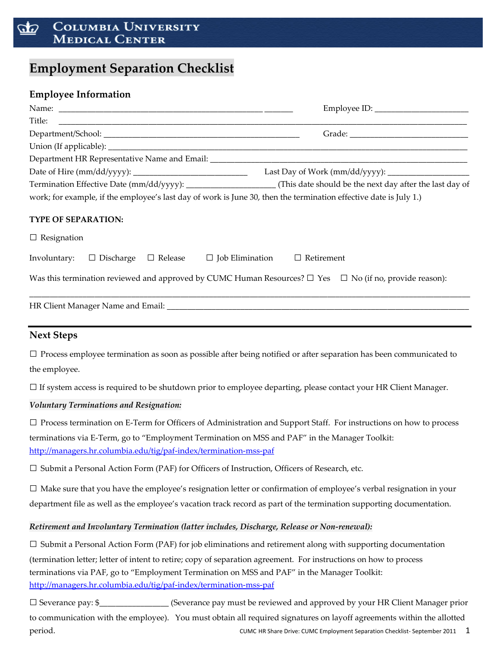#### **COLUMBIA UNIVERSITY** 50 **MEDICAL CENTER**

## **Employment Separation Checklist**

### **Employee Information**

|                                                                                       | work; for example, if the employee's last day of work is June 30, then the termination effective date is July 1.)         |
|---------------------------------------------------------------------------------------|---------------------------------------------------------------------------------------------------------------------------|
| <b>TYPE OF SEPARATION:</b>                                                            |                                                                                                                           |
| $\Box$ Resignation                                                                    |                                                                                                                           |
| Involuntary: $\Box$ Discharge $\Box$ Release $\Box$ Job Elimination $\Box$ Retirement |                                                                                                                           |
|                                                                                       | Was this termination reviewed and approved by CUMC Human Resources? $\Box$ Yes $\Box$ No (if no, provide reason):         |
|                                                                                       |                                                                                                                           |
| <b>Next Steps</b>                                                                     | ,我们也不能在这里的时候,我们也不能在这里的时候,我们也不能会在这里的时候,我们也不能会在这里的时候,我们也不能会在这里的时候,我们也不能会在这里的时候,我们也                                          |
|                                                                                       | $\Box$ Process employee termination as soon as possible after being notified or after separation has been communicated to |
| the employee.                                                                         |                                                                                                                           |
|                                                                                       | $\Box$ If system access is required to be shutdown prior to employee departing, please contact your HR Client Manager.    |
| Voluntary Terminations and Resignation:                                               |                                                                                                                           |

 $\square$  Process termination on E-Term for Officers of Administration and Support Staff. For instructions on how to process terminations via E‐Term, go to "Employment Termination on MSS and PAF" in the Manager Toolkit: http://managers.hr.columbia.edu/tig/paf‐index/termination‐mss‐paf

 $\square$  Submit a Personal Action Form (PAF) for Officers of Instruction, Officers of Research, etc.

 $\square$  Make sure that you have the employee's resignation letter or confirmation of employee's verbal resignation in your department file as well as the employee's vacation track record as part of the termination supporting documentation.

#### *Retirement and Involuntary Termination (latter includes, Discharge, Release or Non‐renewal):*

 $\square$  Submit a Personal Action Form (PAF) for job eliminations and retirement along with supporting documentation (termination letter; letter of intent to retire; copy of separation agreement. For instructions on how to process terminations via PAF, go to "Employment Termination on MSS and PAF" in the Manager Toolkit: http://managers.hr.columbia.edu/tig/paf‐index/termination‐mss‐paf

CUMC HR Share Drive: CUMC Employment Separation Checklist‐ September 2011 1 □ Severance pay: \$\_\_\_\_\_\_\_\_\_\_\_\_\_\_\_\_\_ (Severance pay must be reviewed and approved by your HR Client Manager prior to communication with the employee). You must obtain all required signatures on layoff agreements within the allotted period.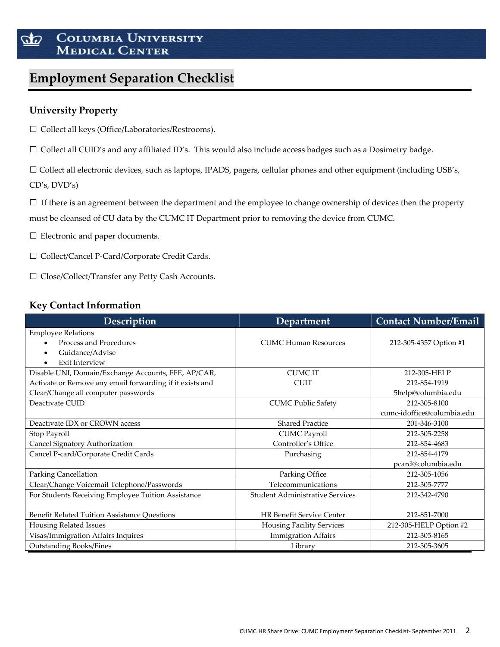#### COLUMBIA UNIVERSITY 50 **MEDICAL CENTER**

# **Employment Separation Checklist**

## **University Property**

□ Collect all keys (Office/Laboratories/Restrooms).

 $\Box$  Collect all CUID's and any affiliated ID's. This would also include access badges such as a Dosimetry badge.

□ Collect all electronic devices, such as laptops, IPADS, pagers, cellular phones and other equipment (including USB's, CD's, DVD's)

 $\square$  If there is an agreement between the department and the employee to change ownership of devices then the property must be cleansed of CU data by the CUMC IT Department prior to removing the device from CUMC.

□ Electronic and paper documents.

□ Collect/Cancel <sup>P</sup>‐Card/Corporate Credit Cards.

□ Close/Collect/Transfer any Petty Cash Accounts.

### **Key Contact Information**

| Description                                              | Department                             | <b>Contact Number/Email</b> |
|----------------------------------------------------------|----------------------------------------|-----------------------------|
| <b>Employee Relations</b>                                |                                        |                             |
| Process and Procedures                                   | <b>CUMC Human Resources</b>            | 212-305-4357 Option #1      |
| Guidance/Advise<br>$\bullet$                             |                                        |                             |
| <b>Exit Interview</b><br>$\bullet$                       |                                        |                             |
| Disable UNI, Domain/Exchange Accounts, FFE, AP/CAR,      | <b>CUMCIT</b>                          | 212-305-HELP                |
| Activate or Remove any email forwarding if it exists and | <b>CUIT</b>                            | 212-854-1919                |
| Clear/Change all computer passwords                      |                                        | 5help@columbia.edu          |
| Deactivate CUID                                          | <b>CUMC Public Safety</b>              | 212-305-8100                |
|                                                          |                                        | cumc-idoffice@columbia.edu  |
| Deactivate IDX or CROWN access                           | <b>Shared Practice</b>                 | 201-346-3100                |
| Stop Payroll                                             | <b>CUMC Payroll</b>                    | 212-305-2258                |
| Cancel Signatory Authorization                           | Controller's Office                    | 212-854-4683                |
| Cancel P-card/Corporate Credit Cards                     | Purchasing                             | 212-854-4179                |
|                                                          |                                        | pcard@columbia.edu          |
| Parking Cancellation                                     | Parking Office                         | 212-305-1056                |
| Clear/Change Voicemail Telephone/Passwords               | Telecommunications                     | 212-305-7777                |
| For Students Receiving Employee Tuition Assistance       | <b>Student Administrative Services</b> | 212-342-4790                |
|                                                          |                                        |                             |
| Benefit Related Tuition Assistance Questions             | <b>HR Benefit Service Center</b>       | 212-851-7000                |
| Housing Related Issues                                   | <b>Housing Facility Services</b>       | 212-305-HELP Option #2      |
| Visas/Immigration Affairs Inquires                       | <b>Immigration Affairs</b>             | 212-305-8165                |
| <b>Outstanding Books/Fines</b>                           | Library                                | 212-305-3605                |